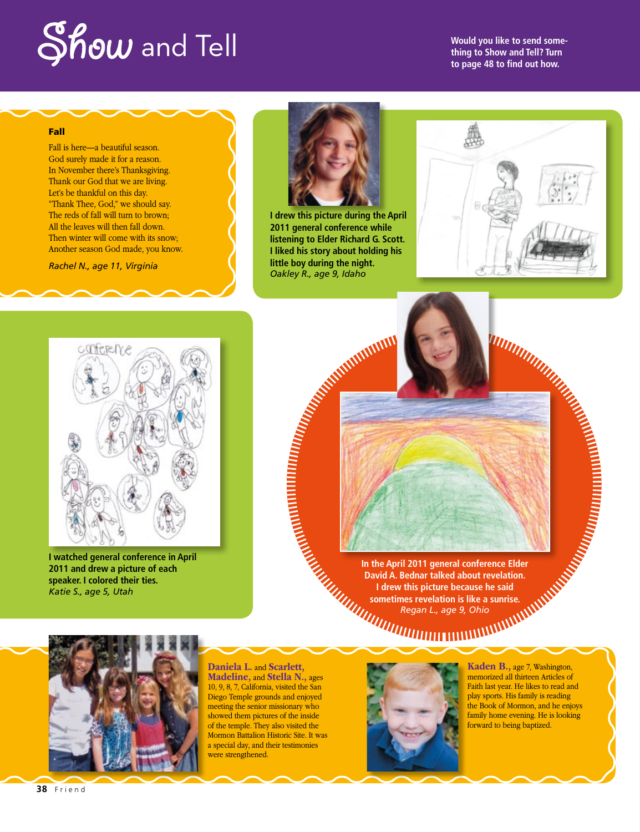## **Show** and Tell

**Would you like to send something to Show and Tell? Turn to page 48 to find out how.**

## Fall

Fall is here—a beautiful season. God surely made it for a reason. In November there's Thanksgiving. Thank our God that we are living. Let's be thankful on this day. "Thank Thee, God," we should say. The reds of fall will turn to brown; All the leaves will then fall down. Then winter will come with its snow; Another season God made, you know.

*Rachel N., age 11, Virginia*



**I drew this picture during the April 2011 general conference while listening to Elder Richard G. Scott. I liked his story about holding his little boy during the night.** *Oakley R., age 9, Idaho*





**I watched general conference in April 2011 and drew a picture of each speaker. I colored their ties.** *Katie S., age 5, Utah*

**In the April 2011 general conference Elder David A. Bednar talked about revelation. I drew this picture because he said sometimes revelation is like a sunrise.** *Regan L., age 9, Ohio*



**Daniela L.** and **Scarlett, Madeline,** and **Stella N.,** ages 10, 9, 8, 7, California, visited the San Diego Temple grounds and enjoyed meeting the senior missionary who showed them pictures of the inside of the temple. They also visited the Mormon Battalion Historic Site. It was a special day, and their testimonies were strengthened.



**Kaden B.,** age 7, Washington, memorized all thirteen Articles of Faith last year. He likes to read and play sports. His family is reading the Book of Mormon, and he enjoys family home evening. He is looking forward to being baptized.

**38** Friend